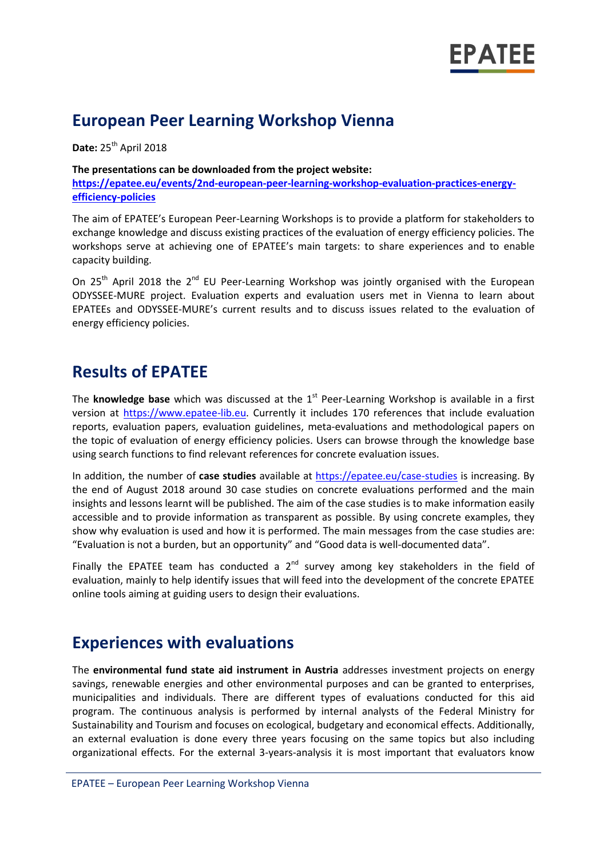

## **European Peer Learning Workshop Vienna**

**Date:** 25<sup>th</sup> April 2018

**The presentations can be downloaded from the project website: [https://epatee.eu/events/2nd-european-peer-learning-workshop-evaluation-practices-energy](https://epatee.eu/events/2nd-european-peer-learning-workshop-evaluation-practices-energy-efficiency-policies)[efficiency-policies](https://epatee.eu/events/2nd-european-peer-learning-workshop-evaluation-practices-energy-efficiency-policies)**

The aim of EPATEE's European Peer-Learning Workshops is to provide a platform for stakeholders to exchange knowledge and discuss existing practices of the evaluation of energy efficiency policies. The workshops serve at achieving one of EPATEE's main targets: to share experiences and to enable capacity building.

On 25<sup>th</sup> April 2018 the 2<sup>nd</sup> EU Peer-Learning Workshop was jointly organised with the European ODYSSEE-MURE project. Evaluation experts and evaluation users met in Vienna to learn about EPATEEs and ODYSSEE-MURE's current results and to discuss issues related to the evaluation of energy efficiency policies.

## **Results of EPATEE**

The **knowledge base** which was discussed at the 1<sup>st</sup> Peer-Learning Workshop is available in a first version at [https://www.epatee-lib.eu.](https://www.epatee-lib.eu/) Currently it includes 170 references that include evaluation reports, evaluation papers, evaluation guidelines, meta-evaluations and methodological papers on the topic of evaluation of energy efficiency policies. Users can browse through the knowledge base using search functions to find relevant references for concrete evaluation issues.

In addition, the number of **case studies** available at<https://epatee.eu/case-studies> is increasing. By the end of August 2018 around 30 case studies on concrete evaluations performed and the main insights and lessons learnt will be published. The aim of the case studies is to make information easily accessible and to provide information as transparent as possible. By using concrete examples, they show why evaluation is used and how it is performed. The main messages from the case studies are: "Evaluation is not a burden, but an opportunity" and "Good data is well-documented data".

Finally the EPATEE team has conducted a  $2^{nd}$  survey among key stakeholders in the field of evaluation, mainly to help identify issues that will feed into the development of the concrete EPATEE online tools aiming at guiding users to design their evaluations.

### **Experiences with evaluations**

The **environmental fund state aid instrument in Austria** addresses investment projects on energy savings, renewable energies and other environmental purposes and can be granted to enterprises, municipalities and individuals. There are different types of evaluations conducted for this aid program. The continuous analysis is performed by internal analysts of the Federal Ministry for Sustainability and Tourism and focuses on ecological, budgetary and economical effects. Additionally, an external evaluation is done every three years focusing on the same topics but also including organizational effects. For the external 3-years-analysis it is most important that evaluators know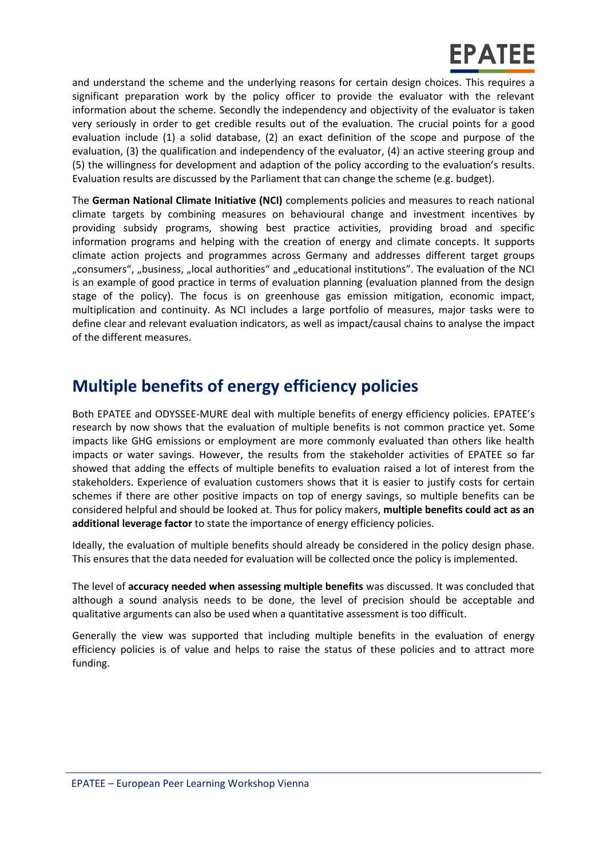and understand the scheme and the underlying reasons for certain design choices. This requires a significant preparation work by the policy officer to provide the evaluator with the relevant information about the scheme. Secondly the independency and objectivity of the evaluator is taken very seriously in order to get credible results out of the evaluation. The crucial points for a good evaluation include (1) a solid database, (2) an exact definition of the scope and purpose of the evaluation, (3) the qualification and independency of the evaluator, (4) an active steering group and (5) the willingness for development and adaption of the policy according to the evaluation's results. Evaluation results are discussed by the Parliament that can change the scheme (e.g. budget).

The **German National Climate Initiative (NCI)** complements policies and measures to reach national climate targets by combining measures on behavioural change and investment incentives by providing subsidy programs, showing best practice activities, providing broad and specific information programs and helping with the creation of energy and climate concepts. It supports climate action projects and programmes across Germany and addresses different target groups "consumers", "business, "local authorities" and "educational institutions". The evaluation of the NCI is an example of good practice in terms of evaluation planning (evaluation planned from the design stage of the policy). The focus is on greenhouse gas emission mitigation, economic impact, multiplication and continuity. As NCI includes a large portfolio of measures, major tasks were to define clear and relevant evaluation indicators, as well as impact/causal chains to analyse the impact of the different measures.

# **Multiple benefits of energy efficiency policies**

Both EPATEE and ODYSSEE-MURE deal with multiple benefits of energy efficiency policies. EPATEE's research by now shows that the evaluation of multiple benefits is not common practice yet. Some impacts like GHG emissions or employment are more commonly evaluated than others like health impacts or water savings. However, the results from the stakeholder activities of EPATEE so far showed that adding the effects of multiple benefits to evaluation raised a lot of interest from the stakeholders. Experience of evaluation customers shows that it is easier to justify costs for certain schemes if there are other positive impacts on top of energy savings, so multiple benefits can be considered helpful and should be looked at. Thus for policy makers, **multiple benefits could act as an additional leverage factor** to state the importance of energy efficiency policies.

Ideally, the evaluation of multiple benefits should already be considered in the policy design phase. This ensures that the data needed for evaluation will be collected once the policy is implemented.

The level of **accuracy needed when assessing multiple benefits** was discussed. It was concluded that although a sound analysis needs to be done, the level of precision should be acceptable and qualitative arguments can also be used when a quantitative assessment is too difficult.

Generally the view was supported that including multiple benefits in the evaluation of energy efficiency policies is of value and helps to raise the status of these policies and to attract more funding.